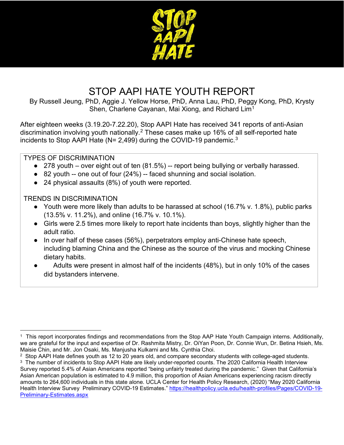

# STOP AAPI HATE YOUTH REPORT

By Russell Jeung, PhD, Aggie J. Yellow Horse, PhD, Anna Lau, PhD, Peggy Kong, PhD, Krysty Shen, Charlene Cayanan, Mai Xiong, and Richard Lim<sup>[1](#page-0-0)</sup>

After eighteen weeks (3.19.20-7.22.20), Stop AAPI Hate has received 341 reports of anti-Asian discrimination involving youth nationally. [2](#page-0-1) These cases make up 16% of all self-reported hate incidents to Stop AAPI Hate ( $N = 2,499$ ) during the COVID-19 pandemic.<sup>[3](#page-0-2)</sup>

#### TYPES OF DISCRIMINATION

- 278 youth over eight out of ten (81.5%) -- report being bullying or verbally harassed.
- 82 youth -- one out of four (24%) -- faced shunning and social isolation.
- 24 physical assaults (8%) of youth were reported.

#### TRENDS IN DISCRIMINATION

- Youth were more likely than adults to be harassed at school (16.7% v. 1.8%), public parks (13.5% v. 11.2%), and online (16.7% v. 10.1%).
- Girls were 2.5 times more likely to report hate incidents than boys, slightly higher than the adult ratio.
- In over half of these cases (56%), perpetrators employ anti-Chinese hate speech, including blaming China and the Chinese as the source of the virus and mocking Chinese dietary habits.
- Adults were present in almost half of the incidents (48%), but in only 10% of the cases did bystanders intervene.

<span id="page-0-0"></span><sup>1</sup> This report incorporates findings and recommendations from the Stop AAP Hate Youth Campaign interns. Additionally, we are grateful for the input and expertise of Dr. Rashmita Mistry, Dr. OiYan Poon, Dr. Connie Wun, Dr. Betina Hsieh, Ms. Maisie Chin, and Mr. Jon Osaki, Ms. Manjusha Kulkarni and Ms. Cynthia Choi.

<span id="page-0-1"></span><sup>2</sup> Stop AAPI Hate defines youth as 12 to 20 years old, and compare secondary students with college-aged students.

<span id="page-0-2"></span><sup>3</sup> The number of incidents to Stop AAPI Hate are likely under-reported counts. The 2020 California Health Interview Survey reported 5.4% of Asian Americans reported "being unfairly treated during the pandemic." Given that California's Asian American population is estimated to 4.9 million, this proportion of Asian Americans experiencing racism directly amounts to 264,600 individuals in this state alone. UCLA Center for Health Policy Research, (2020) "May 2020 California Health Interview Survey Preliminary COVID-19 Estimates." [https://healthpolicy.ucla.edu/health-profiles/Pages/COVID-19-](https://healthpolicy.ucla.edu/health-profiles/Pages/COVID-19-Preliminary-Estimates.aspx) [Preliminary-Estimates.aspx](https://healthpolicy.ucla.edu/health-profiles/Pages/COVID-19-Preliminary-Estimates.aspx)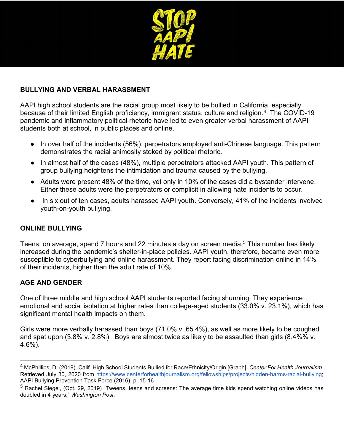

#### **BULLYING AND VERBAL HARASSMENT**

AAPI high school students are the racial group most likely to be bullied in California, especially because of their limited English proficiency, immigrant status, culture and religion.<sup>[4](#page-1-0)</sup> The COVID-19 pandemic and inflammatory political rhetoric have led to even greater verbal harassment of AAPI students both at school, in public places and online.

- In over half of the incidents (56%), perpetrators employed anti-Chinese language. This pattern demonstrates the racial animosity stoked by political rhetoric.
- In almost half of the cases (48%), multiple perpetrators attacked AAPI youth. This pattern of group bullying heightens the intimidation and trauma caused by the bullying.
- Adults were present 48% of the time, yet only in 10% of the cases did a bystander intervene. Either these adults were the perpetrators or complicit in allowing hate incidents to occur.
- In six out of ten cases, adults harassed AAPI youth. Conversely, 41% of the incidents involved youth-on-youth bullying.

#### **ONLINE BULLYING**

Teens, on average, spend 7 hours and 22 minutes a day on screen media.<sup>[5](#page-1-1)</sup> This number has likely increased during the pandemic's shelter-in-place policies. AAPI youth, therefore, became even more susceptible to cyberbullying and online harassment. They report facing discrimination online in 14% of their incidents, higher than the adult rate of 10%.

#### **AGE AND GENDER**

 $\overline{a}$ 

One of three middle and high school AAPI students reported facing shunning. They experience emotional and social isolation at higher rates than college-aged students (33.0% v. 23.1%), which has significant mental health impacts on them.

Girls were more verbally harassed than boys (71.0% v. 65.4%), as well as more likely to be coughed and spat upon (3.8% v. 2.8%). Boys are almost twice as likely to be assaulted than girls (8.4%% v. 4.6%).

<span id="page-1-0"></span><sup>4</sup> McPhillips, D. (2019). Calif. High School Students Bullied for Race/Ethnicity/Origin [Graph]. *Center For Health Journalism*. Retrieved July 30, 2020 from [https://www.centerforhealthjournalism.org/fellowships/projects/hidden-harms-racial-bullying;](https://www.centerforhealthjournalism.org/fellowships/projects/hidden-harms-racial-bullying) AAPI Bullying Prevention Task Force (2016), p. 15-16

<span id="page-1-1"></span> $^5$  Rachel Siegel, (Oct. 29, 2019) "Tweens, teens and screens: The average time kids spend watching online videos has doubled in 4 years," *Washington Post.*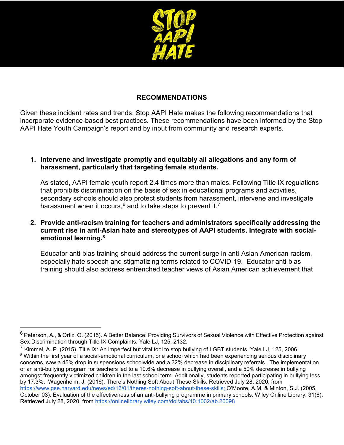

#### **RECOMMENDATIONS**

Given these incident rates and trends, Stop AAPI Hate makes the following recommendations that incorporate evidence-based best practices. These recommendations have been informed by the Stop AAPI Hate Youth Campaign's report and by input from community and research experts.

#### **1. Intervene and investigate promptly and equitably all allegations and any form of harassment, particularly that targeting female students.**

As stated, AAPI female youth report 2.4 times more than males. Following Title IX regulations that prohibits discrimination on the basis of sex in educational programs and activities, secondary schools should also protect students from harassment, intervene and investigate harassment when it occurs,  $6$  and to take steps to prevent it.<sup>[7](#page-2-1)</sup>

#### **2. Provide anti-racism training for teachers and administrators specifically addressing the current rise in anti-Asian hate and stereotypes of AAPI students. Integrate with socialemotional learning.[8](#page-2-2)**

Educator anti-bias training should address the current surge in anti-Asian American racism, especially hate speech and stigmatizing terms related to COVID-19. Educator anti-bias training should also address entrenched teacher views of Asian American achievement that

<span id="page-2-0"></span> $6$  Peterson, A., & Ortiz, O. (2015). A Better Balance: Providing Survivors of Sexual Violence with Effective Protection against Sex Discrimination through Title IX Complaints. Yale LJ, 125, 2132.

<span id="page-2-2"></span><span id="page-2-1"></span> $^7$  Kimmel, A. P. (2015). Title IX: An imperfect but vital tool to stop bullying of LGBT students. Yale LJ, 125, 2006. <sup>8</sup> Within the first year of a social-emotional curriculum, one school which had been experiencing serious disciplinary concerns, saw a 45% drop in suspensions schoolwide and a 32% decrease in disciplinary referrals. The implementation of an anti-bullying program for teachers led to a 19.6% decrease in bullying overall, and a 50% decrease in bullying amongst frequently victimized children in the last school term. Additionally, students reported participating in bullying less by 17.3%. Wagenheim, J. (2016). There's Nothing Soft About These Skills. Retrieved July 28, 2020, from [https://www.gse.harvard.edu/news/ed/16/01/theres-nothing-soft-about-these-skills;](https://www.gse.harvard.edu/news/ed/16/01/theres-nothing-soft-about-these-skills) O'Moore, A.M, & Minton, S.J. (2005, October 03). Evaluation of the effectiveness of an anti‐bullying programme in primary schools. Wiley Online Library, 31(6). Retrieved July 28, 2020, from<https://onlinelibrary.wiley.com/doi/abs/10.1002/ab.20098>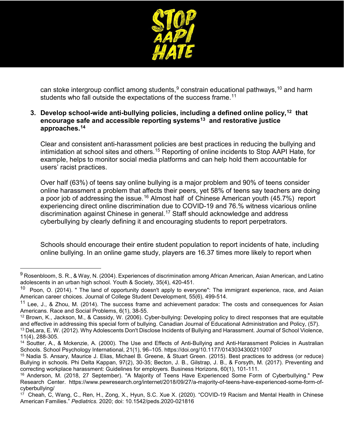

can stoke intergroup conflict among students,  $9$  constrain educational pathways,  $10$  and harm students who fall outside the expectations of the success frame.<sup>[11](#page-3-2)</sup>

#### **3. Develop school-wide anti-bullying policies, including a defined online policy,[12](#page-3-3) that encourage safe and accessible reporting systems[13](#page-3-4) and restorative justice approaches.[14](#page-3-5)**

Clear and consistent anti-harassment policies are best practices in reducing the bullying and intimidation at school sites and others.<sup>[15](#page-3-6)</sup> Reporting of online incidents to Stop AAPI Hate, for example, helps to monitor social media platforms and can help hold them accountable for users' racist practices.

Over half (63%) of teens say online bullying is a major problem and 90% of teens consider online harassment a problem that affects their peers, yet 58% of teens say teachers are doing a poor job of addressing the issue.<sup>[16](#page-3-7)</sup> Almost half of Chinese American youth (45.7%) report experiencing direct online discrimination due to COVID-19 and 76.% witness vicarious online discrimination against Chinese in general.<sup>[17](#page-3-8)</sup> Staff should acknowledge and address cyberbullying by clearly defining it and encouraging students to report perpetrators.

Schools should encourage their entire student population to report incidents of hate, including online bullying. In an online game study, players are 16.37 times more likely to report when

<span id="page-3-0"></span> $9$  Rosenbloom, S. R., & Way, N. (2004). Experiences of discrimination among African American, Asian American, and Latino adolescents in an urban high school. Youth & Society, 35(4), 420-451.

<span id="page-3-1"></span> $10$  Poon, O. (2014). " The land of opportunity doesn't apply to everyone": The immigrant experience, race, and Asian American career choices. Journal of College Student Development, 55(6), 499-514.

<span id="page-3-2"></span><sup>&</sup>lt;sup>11</sup> Lee, J., & Zhou, M. (2014). The success frame and achievement paradox: The costs and consequences for Asian Americans. Race and Social Problems, 6(1), 38-55.

<span id="page-3-3"></span> $12$  Brown, K., Jackson, M., & Cassidy, W. (2006). Cyber-bullying: Developing policy to direct responses that are equitable and effective in addressing this special form of bullying. Canadian Journal of Educational Administration and Policy, (57). <sup>13</sup> DeLara, E. W. (2012). Why Adolescents Don't Disclose Incidents of Bullying and Harassment. Journal of School Violence,

<span id="page-3-4"></span><sup>11(4), 288-305.</sup>

<span id="page-3-5"></span><sup>&</sup>lt;sup>14</sup> Soutter, A., & Mckenzie, A. (2000). The Use and Effects of Anti-Bullying and Anti-Harassment Policies in Australian Schools. School Psychology International, 21(1), 96–105. https://doi.org/10.1177/0143034300211007

<span id="page-3-6"></span><sup>15</sup> Nadia S. Ansary, Maurice J. Elias, Michael B. Greene, & Stuart Green. (2015). Best practices to address (or reduce) Bullying in schools. Phi Delta Kappan, 97(2), 30-35; Becton, J. B., Gilstrap, J. B., & Forsyth, M. (2017). Preventing and correcting workplace harassment: Guidelines for employers. Business Horizons, 60(1), 101-111.

<span id="page-3-7"></span><sup>16</sup> Anderson, M. (2018, 27 September). "A Majority of Teens Have Experienced Some Form of Cyberbullying." Pew Research Center. https://www.pewresearch.org/internet/2018/09/27/a-majority-of-teens-have-experienced-some-form-ofcyberbullying/

<span id="page-3-8"></span><sup>&</sup>lt;sup>17</sup> Cheah, C, Wang, C., Ren, H., Zong, X., Hyun, S.C. Xue X. (2020). "COVID-19 Racism and Mental Health in Chinese American Families." *Pediatrics.* 2020; doi: 10.1542/peds.2020-021816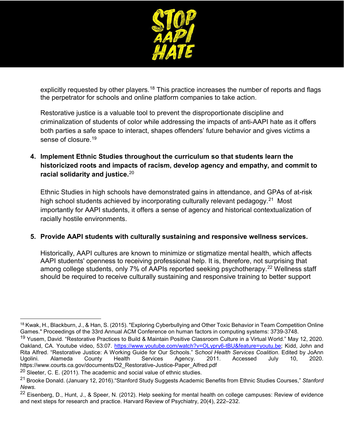

explicitly requested by other players.<sup>[18](#page-4-0)</sup> This practice increases the number of reports and flags the perpetrator for schools and online platform companies to take action.

Restorative justice is a valuable tool to prevent the disproportionate discipline and criminalization of students of color while addressing the impacts of anti-AAPI hate as it offers both parties a safe space to interact, shapes offenders' future behavior and gives victims a sense of closure.<sup>[19](#page-4-1)</sup>

**4. Implement Ethnic Studies throughout the curriculum so that students learn the historicized roots and impacts of racism, develop agency and empathy, and commit to racial solidarity and justice.**[20](#page-4-2)

Ethnic Studies in high schools have demonstrated gains in attendance, and GPAs of at-risk high school students achieved by incorporating culturally relevant pedagogy.<sup>[21](#page-4-3)</sup> Most importantly for AAPI students, it offers a sense of agency and historical contextualization of racially hostile environments.

#### **5. Provide AAPI students with culturally sustaining and responsive wellness services.**

Historically, AAPI cultures are known to minimize or stigmatize mental health, which affects AAPI students' openness to receiving professional help. It is, therefore, not surprising that among college students, only 7% of AAPIs reported seeking psychotherapy.<sup>[22](#page-4-4)</sup> Wellness staff should be required to receive culturally sustaining and responsive training to better support

<span id="page-4-0"></span> $\overline{a}$ <sup>18</sup> Kwak, H., Blackburn, J., & Han, S. (2015). "Exploring Cyberbullying and Other Toxic Behavior in Team Competition Online Games." Proceedings of the 33rd Annual ACM Conference on human factors in computing systems: 3739-3748.

<span id="page-4-1"></span><sup>&</sup>lt;sup>19</sup> Yusem, David. "Restorative Practices to Build & Maintain Positive Classroom Culture in a Virtual World." May 12, 2020. Oakland, CA. Youtube video, 53:07. [https://www.youtube.com/watch?v=OLypry6-tBU&feature=youtu.be;](https://www.youtube.com/watch?v=OLypry6-tBU&feature=youtu.be) Kidd, John and Rita Alfred. "Restorative Justice: A Working Guide for Our Schools." S*chool Health Services Coalition*. Edited by JoAnn Ugolini. Alameda County Health Services Agency. 2011. Accessed July 10, 2020. https://www.courts.ca.gov/documents/D2\_Restorative-Justice-Paper\_Alfred.pdf

<span id="page-4-2"></span> $20$  Sleeter, C. E. (2011). The academic and social value of ethnic studies.

<span id="page-4-3"></span><sup>21</sup> Brooke Donald. (January 12, 2016)."Stanford Study Suggests Academic Benefits from Ethnic Studies Courses," *Stanford News.*

<span id="page-4-4"></span> $22$  Eisenberg, D., Hunt, J., & Speer, N. (2012). Help seeking for mental health on college campuses: Review of evidence and next steps for research and practice. Harvard Review of Psychiatry, 20(4), 222–232.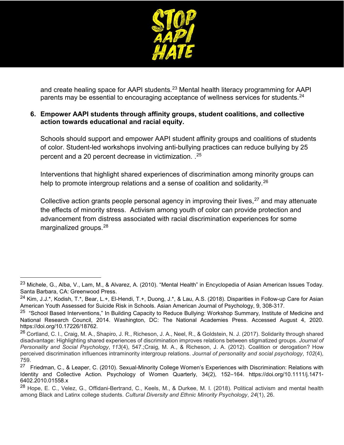

and create healing space for AAPI students.<sup>[23](#page-5-0)</sup> Mental health literacy programming for AAPI parents may be essential to encouraging acceptance of wellness services for students.<sup>[24](#page-5-1)</sup>

#### **6. Empower AAPI students through affinity groups, student coalitions, and collective action towards educational and racial equity.**

Schools should support and empower AAPI student affinity groups and coalitions of students of color. Student-led workshops involving anti-bullying practices can reduce bullying by 25 percent and a 20 percent decrease in victimization. . [25](#page-5-2)

Interventions that highlight shared experiences of discrimination among minority groups can help to promote intergroup relations and a sense of coalition and solidarity.<sup>[26](#page-5-3)</sup>

Collective action grants people personal agency in improving their lives,  $27$  and may attenuate the effects of minority stress. Activism among youth of color can provide protection and advancement from distress associated with racial discrimination experiences for some marginalized groups.[28](#page-5-5)

<span id="page-5-0"></span><sup>&</sup>lt;sup>23</sup> Michele, G., Alba, V., Lam, M., & Alvarez, A. (2010). "Mental Health" in Encyclopedia of Asian American Issues Today. Santa Barbara, CA: Greenwood Press.

<span id="page-5-1"></span><sup>&</sup>lt;sup>24</sup> Kim, J.J.\*, Kodish, T.\*, Bear, L.+, El-Hendi, T.+, Duong, J.\*, & Lau, A.S. (2018). Disparities in Follow-up Care for Asian American Youth Assessed for Suicide Risk in Schools. Asian American Journal of Psychology, 9, 308-317.

<span id="page-5-2"></span><sup>&</sup>lt;sup>25</sup> "School Based Interventions," In Building Capacity to Reduce Bullying: Workshop Summary, Institute of Medicine and National Research Council, 2014. Washington, DC: The National Academies Press. Accessed August 4, 2020. https://doi.org/10.17226/18762.

<span id="page-5-3"></span><sup>&</sup>lt;sup>26</sup> Cortland, C. I., Craig, M. A., Shapiro, J. R., Richeson, J. A., Neel, R., & Goldstein, N. J. (2017). Solidarity through shared disadvantage: Highlighting shared experiences of discrimination improves relations between stigmatized groups. *Journal of Personality and Social Psychology*, *113*(4), 547.;Craig, M. A., & Richeson, J. A. (2012). Coalition or derogation? How perceived discrimination influences intraminority intergroup relations. *Journal of personality and social psychology*, *102*(4), 759.

<span id="page-5-4"></span><sup>&</sup>lt;sup>27</sup> Friedman, C., & Leaper, C. (2010). Sexual-Minority College Women's Experiences with Discrimination: Relations with Identity and Collective Action. Psychology of Women Quarterly, 34(2), 152–164. https://doi.org/10.1111/j.1471- 6402.2010.01558.x

<span id="page-5-5"></span><sup>&</sup>lt;sup>28</sup> Hope, E. C., Velez, G., Offidani-Bertrand, C., Keels, M., & Durkee, M. I. (2018). Political activism and mental health among Black and Latinx college students. *Cultural Diversity and Ethnic Minority Psychology*, *24*(1), 26.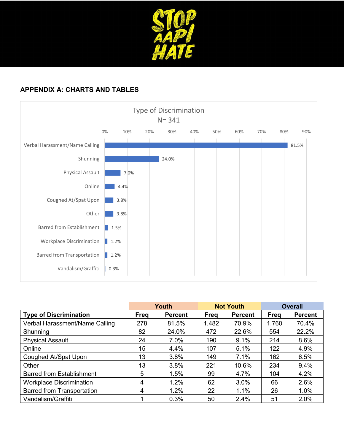

### **APPENDIX A: CHARTS AND TABLES**



|                                   | Youth |                | <b>Not Youth</b> |                | <b>Overall</b> |                |
|-----------------------------------|-------|----------------|------------------|----------------|----------------|----------------|
| <b>Type of Discrimination</b>     | Freg  | <b>Percent</b> | <b>Freq</b>      | <b>Percent</b> | <b>Freg</b>    | <b>Percent</b> |
| Verbal Harassment/Name Calling    | 278   | 81.5%          | 1,482            | 70.9%          | 1,760          | 70.4%          |
| Shunning                          | 82    | 24.0%          | 472              | 22.6%          | 554            | 22.2%          |
| <b>Physical Assault</b>           | 24    | 7.0%           | 190              | 9.1%           | 214            | 8.6%           |
| Online                            | 15    | 4.4%           | 107              | 5.1%           | 122            | 4.9%           |
| Coughed At/Spat Upon              | 13    | 3.8%           | 149              | 7.1%           | 162            | 6.5%           |
| Other                             | 13    | 3.8%           | 221              | 10.6%          | 234            | 9.4%           |
| <b>Barred from Establishment</b>  | 5     | 1.5%           | 99               | 4.7%           | 104            | 4.2%           |
| <b>Workplace Discrimination</b>   | 4     | 1.2%           | 62               | 3.0%           | 66             | 2.6%           |
| <b>Barred from Transportation</b> | 4     | 1.2%           | 22               | 1.1%           | 26             | 1.0%           |
| Vandalism/Graffiti                |       | 0.3%           | 50               | 2.4%           | 51             | 2.0%           |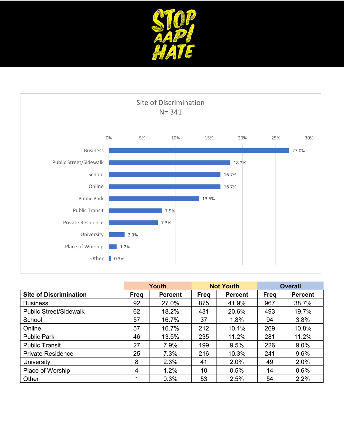



|                               | Youth |                | <b>Not Youth</b> |                | <b>Overall</b> |                |
|-------------------------------|-------|----------------|------------------|----------------|----------------|----------------|
| <b>Site of Discrimination</b> | Freq  | <b>Percent</b> | Freq             | <b>Percent</b> | <b>Freg</b>    | <b>Percent</b> |
| <b>Business</b>               | 92    | 27.0%          | 875              | 41.9%          | 967            | 38.7%          |
| <b>Public Street/Sidewalk</b> | 62    | 18.2%          | 431              | 20.6%          | 493            | 19.7%          |
| School                        | 57    | 16.7%          | 37               | 1.8%           | 94             | 3.8%           |
| Online                        | 57    | 16.7%          | 212              | 10.1%          | 269            | 10.8%          |
| <b>Public Park</b>            | 46    | 13.5%          | 235              | 11.2%          | 281            | 11.2%          |
| <b>Public Transit</b>         | 27    | 7.9%           | 199              | 9.5%           | 226            | 9.0%           |
| <b>Private Residence</b>      | 25    | 7.3%           | 216              | 10.3%          | 241            | 9.6%           |
| <b>University</b>             | 8     | 2.3%           | 41               | 2.0%           | 49             | 2.0%           |
| Place of Worship              | 4     | 1.2%           | 10               | 0.5%           | 14             | 0.6%           |
| Other                         |       | 0.3%           | 53               | 2.5%           | 54             | 2.2%           |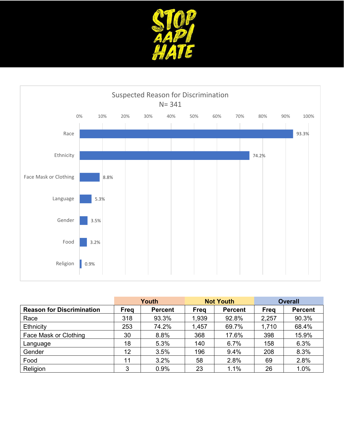



|                                  | Youth |                | <b>Not Youth</b> |                | <b>Overall</b> |                |
|----------------------------------|-------|----------------|------------------|----------------|----------------|----------------|
| <b>Reason for Discrimination</b> | Freg  | <b>Percent</b> | <b>Freg</b>      | <b>Percent</b> | Freq           | <b>Percent</b> |
| Race                             | 318   | 93.3%          | 1,939            | 92.8%          | 2,257          | 90.3%          |
| Ethnicity                        | 253   | 74.2%          | 1,457            | 69.7%          | 1,710          | 68.4%          |
| Face Mask or Clothing            | 30    | 8.8%           | 368              | 17.6%          | 398            | 15.9%          |
| Language                         | 18    | 5.3%           | 140              | 6.7%           | 158            | 6.3%           |
| Gender                           | 12    | 3.5%           | 196              | 9.4%           | 208            | 8.3%           |
| Food                             | 11    | 3.2%           | 58               | 2.8%           | 69             | 2.8%           |
| Religion                         | 3     | 0.9%           | 23               | 1.1%           | 26             | 1.0%           |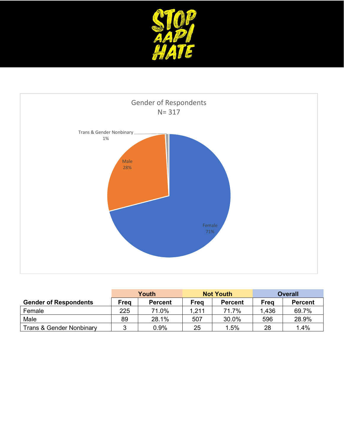



|                                     | Youth |                |       | <b>Not Youth</b> | <b>Overall</b> |                |
|-------------------------------------|-------|----------------|-------|------------------|----------------|----------------|
| <b>Gender of Respondents</b>        | Frea  | <b>Percent</b> | Frea  | <b>Percent</b>   | Freg           | <b>Percent</b> |
| Female                              | 225   | 71.0%          | 1,211 | 71.7%            | 1,436          | 69.7%          |
| Male                                | 89    | 28.1%          | 507   | 30.0%            | 596            | 28.9%          |
| <b>Trans &amp; Gender Nonbinary</b> |       | $0.9\%$        | 25    | 1.5%             | 28             | 1.4%           |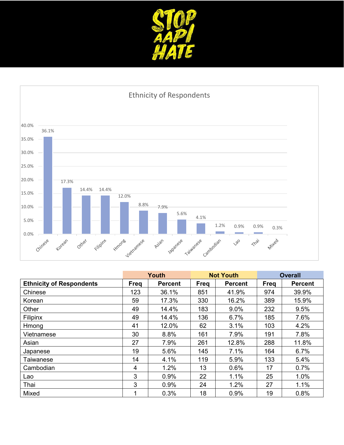



|                                 | Youth       |                | <b>Not Youth</b> |                | <b>Overall</b> |                |
|---------------------------------|-------------|----------------|------------------|----------------|----------------|----------------|
| <b>Ethnicity of Respondents</b> | <b>Freg</b> | <b>Percent</b> | Freq             | <b>Percent</b> | <b>Freg</b>    | <b>Percent</b> |
| Chinese                         | 123         | 36.1%          | 851              | 41.9%          | 974            | 39.9%          |
| Korean                          | 59          | 17.3%          | 330              | 16.2%          | 389            | 15.9%          |
| Other                           | 49          | 14.4%          | 183              | 9.0%           | 232            | 9.5%           |
| Filipinx                        | 49          | 14.4%          | 136              | 6.7%           | 185            | 7.6%           |
| Hmong                           | 41          | 12.0%          | 62               | 3.1%           | 103            | 4.2%           |
| Vietnamese                      | 30          | 8.8%           | 161              | 7.9%           | 191            | 7.8%           |
| Asian                           | 27          | 7.9%           | 261              | 12.8%          | 288            | 11.8%          |
| Japanese                        | 19          | 5.6%           | 145              | 7.1%           | 164            | 6.7%           |
| Taiwanese                       | 14          | 4.1%           | 119              | 5.9%           | 133            | 5.4%           |
| Cambodian                       | 4           | 1.2%           | 13               | 0.6%           | 17             | 0.7%           |
| Lao                             | 3           | 0.9%           | 22               | 1.1%           | 25             | 1.0%           |
| Thai                            | 3           | 0.9%           | 24               | 1.2%           | 27             | 1.1%           |
| Mixed                           | 1           | 0.3%           | 18               | 0.9%           | 19             | 0.8%           |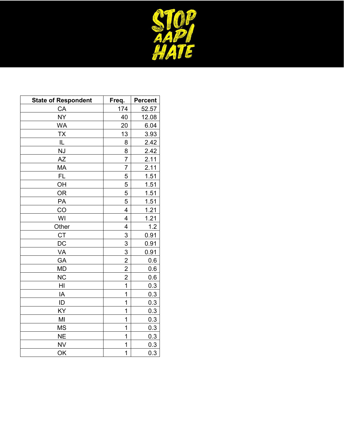

| <b>State of Respondent</b> | Freq.          | <b>Percent</b> |
|----------------------------|----------------|----------------|
| CA                         | <u>174</u>     | 52.57          |
| <u>NY</u>                  | 40             | 12.08          |
| <b>WA</b>                  | 20             | 6.04           |
| <u>TX</u>                  | 13             | 3.93           |
| IL                         | 8              | 2.42           |
| <u>NJ</u>                  | 8              | 2.42           |
| AΖ                         | $\overline{7}$ | 2.11           |
| MA                         | $\overline{7}$ | <u>2.11</u>    |
| <b>FL</b>                  | 5              | <u>1.51</u>    |
| OH                         | 5              | 1.51           |
| <b>OR</b>                  | 5              | 1.51           |
| PA                         | 5              | 1.51           |
| CO                         | $\overline{4}$ | 1.21           |
| WI                         | 4              | 1.21           |
| Other                      | 4              | 1.2            |
| CT                         | 3              | 0.91           |
| DC                         | 3              | 0.91           |
| VA                         | 3              | 0.91           |
| GA                         | $\overline{2}$ | 0.6            |
| <b>MD</b>                  | $\overline{c}$ | 0.6            |
| <b>NC</b>                  | $\overline{2}$ | 0.6            |
| HI                         | 1              | 0.3            |
| IA                         | 1              | 0.3            |
| ID                         | 1              | 0.3            |
| KY                         | 1              | 0.3            |
| MI                         | 1              | 0.3            |
| <b>MS</b>                  | 1              | 0.3            |
| <b>NE</b>                  | 1              | 0.3            |
| <b>NV</b>                  | 1              | 0.3            |
| OK                         | 1              | 0.3            |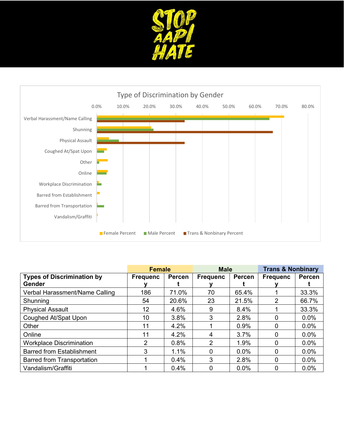



|                                                    | <b>Female</b>   |               | <b>Male</b>     |         | <b>Trans &amp; Nonbinary</b> |               |
|----------------------------------------------------|-----------------|---------------|-----------------|---------|------------------------------|---------------|
| <b>Types of Discrimination by</b><br><b>Gender</b> | <b>Frequenc</b> | <b>Percen</b> | <b>Frequenc</b> | Percen  | <b>Frequenc</b>              | <b>Percen</b> |
|                                                    |                 |               |                 |         |                              |               |
| Verbal Harassment/Name Calling                     | 186             | 71.0%         | 70              | 65.4%   |                              | 33.3%         |
| Shunning                                           | 54              | 20.6%         | 23              | 21.5%   | 2                            | 66.7%         |
| <b>Physical Assault</b>                            | 12              | 4.6%          | 9               | 8.4%    |                              | 33.3%         |
| Coughed At/Spat Upon                               | 10              | 3.8%          | 3               | 2.8%    | 0                            | $0.0\%$       |
| Other                                              | 11              | 4.2%          |                 | 0.9%    | 0                            | $0.0\%$       |
| Online                                             | 11              | 4.2%          | 4               | 3.7%    | 0                            | $0.0\%$       |
| <b>Workplace Discrimination</b>                    | $\overline{2}$  | 0.8%          | 2               | 1.9%    |                              | $0.0\%$       |
| <b>Barred from Establishment</b>                   | 3               | 1.1%          |                 | $0.0\%$ | $\Omega$                     | $0.0\%$       |
| <b>Barred from Transportation</b>                  |                 | 0.4%          | 3               | 2.8%    | 0                            | $0.0\%$       |
| Vandalism/Graffiti                                 |                 | 0.4%          |                 | $0.0\%$ |                              | $0.0\%$       |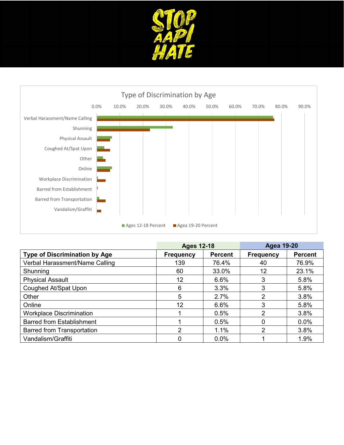![](_page_13_Picture_0.jpeg)

![](_page_13_Figure_1.jpeg)

|                                      | <b>Ages 12-18</b> |                | <b>Agea 19-20</b> |                |
|--------------------------------------|-------------------|----------------|-------------------|----------------|
| <b>Type of Discrimination by Age</b> | <b>Frequency</b>  | <b>Percent</b> | <b>Frequency</b>  | <b>Percent</b> |
| Verbal Harassment/Name Calling       | 139               | 76.4%          | 40                | 76.9%          |
| Shunning                             | 60                | 33.0%          | 12                | 23.1%          |
| <b>Physical Assault</b>              | 12                | 6.6%           | 3                 | 5.8%           |
| Coughed At/Spat Upon                 | 6                 | 3.3%           | 3                 | 5.8%           |
| Other                                | 5                 | 2.7%           | 2                 | 3.8%           |
| Online                               | 12                | 6.6%           | 3                 | 5.8%           |
| <b>Workplace Discrimination</b>      |                   | 0.5%           | 2                 | 3.8%           |
| <b>Barred from Establishment</b>     |                   | 0.5%           |                   | 0.0%           |
| <b>Barred from Transportation</b>    | ◠                 | $1.1\%$        | 2                 | 3.8%           |
| Vandalism/Graffiti                   |                   | $0.0\%$        |                   | 1.9%           |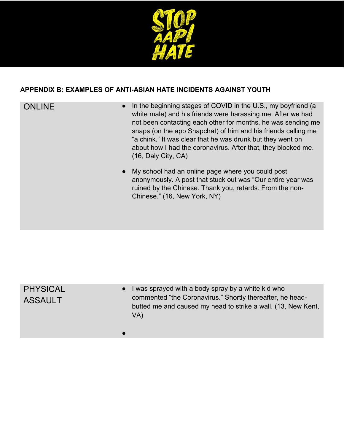![](_page_14_Picture_0.jpeg)

### **APPENDIX B: EXAMPLES OF ANTI-ASIAN HATE INCIDENTS AGAINST YOUTH**

- ONLINE **•** In the beginning stages of COVID in the U.S., my boyfriend (a white male) and his friends were harassing me. After we had not been contacting each other for months, he was sending me snaps (on the app Snapchat) of him and his friends calling me "a chink." It was clear that he was drunk but they went on about how I had the coronavirus. After that, they blocked me. (16, Daly City, CA)
	- My school had an online page where you could post anonymously. A post that stuck out was "Our entire year was ruined by the Chinese. Thank you, retards. From the non-Chinese." (16, New York, NY)

| <b>PHYSICAL</b><br><b>ASSAULT</b> | I was sprayed with a body spray by a white kid who<br>commented "the Coronavirus." Shortly thereafter, he head-<br>butted me and caused my head to strike a wall. (13, New Kent,<br>VA) |
|-----------------------------------|-----------------------------------------------------------------------------------------------------------------------------------------------------------------------------------------|
|                                   |                                                                                                                                                                                         |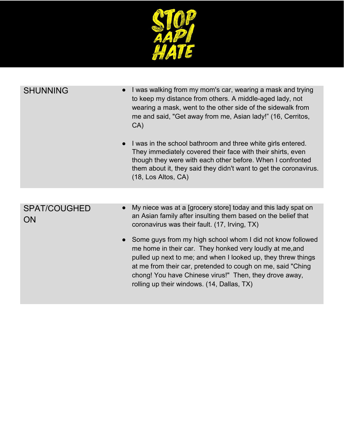![](_page_15_Picture_0.jpeg)

| <b>SHUNNING</b>                        | I was walking from my mom's car, wearing a mask and trying<br>to keep my distance from others. A middle-aged lady, not<br>wearing a mask, went to the other side of the sidewalk from<br>me and said, "Get away from me, Asian lady!" (16, Cerritos,<br>CA)<br>I was in the school bathroom and three white girls entered.                                        |
|----------------------------------------|-------------------------------------------------------------------------------------------------------------------------------------------------------------------------------------------------------------------------------------------------------------------------------------------------------------------------------------------------------------------|
|                                        | They immediately covered their face with their shirts, even<br>though they were with each other before. When I confronted<br>them about it, they said they didn't want to get the coronavirus.<br>(18, Los Altos, CA)                                                                                                                                             |
|                                        |                                                                                                                                                                                                                                                                                                                                                                   |
| <b>SPAT/COUGHED</b><br>$\bullet$<br>ON | My niece was at a [grocery store] today and this lady spat on<br>an Asian family after insulting them based on the belief that<br>coronavirus was their fault. (17, Irving, TX)                                                                                                                                                                                   |
|                                        | • Some guys from my high school whom I did not know followed<br>me home in their car. They honked very loudly at me, and<br>pulled up next to me; and when I looked up, they threw things<br>at me from their car, pretended to cough on me, said "Ching"<br>chong! You have Chinese virus!" Then, they drove away,<br>rolling up their windows. (14, Dallas, TX) |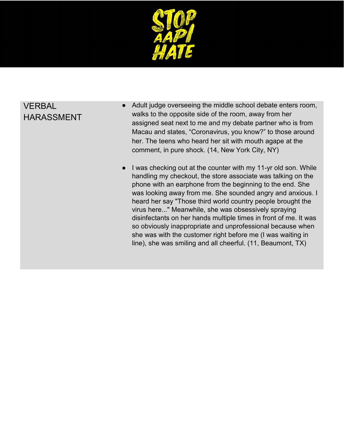![](_page_16_Picture_0.jpeg)

## VERBAL HARASSMENT

- Adult judge overseeing the middle school debate enters room, walks to the opposite side of the room, away from her assigned seat next to me and my debate partner who is from Macau and states, "Coronavirus, you know?" to those around her. The teens who heard her sit with mouth agape at the comment, in pure shock. (14, New York City, NY)
- I was checking out at the counter with my 11-yr old son. While handling my checkout, the store associate was talking on the phone with an earphone from the beginning to the end. She was looking away from me. She sounded angry and anxious. I heard her say "Those third world country people brought the virus here..." Meanwhile, she was obsessively spraying disinfectants on her hands multiple times in front of me. It was so obviously inappropriate and unprofessional because when she was with the customer right before me (I was waiting in line), she was smiling and all cheerful. (11, Beaumont, TX)